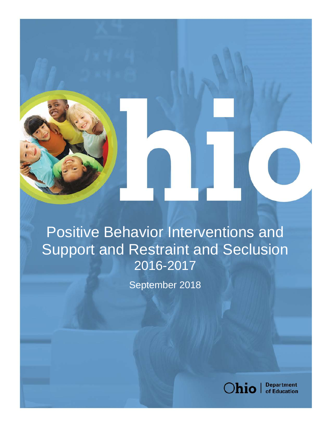

Positive Behavior Interventions and Support and Restraint and Seclusion 2016-2017

September 2018



**Department**<br>of Education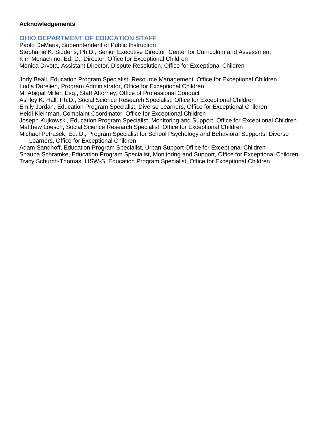#### **Acknowledgements**

#### **OHIO DEPARTMENT OF EDUCATION STAFF**

Paolo DeMaria, Superintendent of Public Instruction Stephanie K. Siddens, Ph.D., Senior Executive Director, Center for Curriculum and Assessment Kim Monachino, Ed. D., Director, Office for Exceptional Children Monica Drvota, Assistant Director, Dispute Resolution, Office for Exceptional Children

Jody Beall, Education Program Specialist, Resource Management, Office for Exceptional Children Ludia Dorelien, Program Administrator, Office for Exceptional Children M. Abigail Miller, Esq., Staff Attorney, Office of Professional Conduct Ashley K. Hall, Ph.D., Social Science Research Specialist, Office for Exceptional Children Emily Jordan, Education Program Specialist, Diverse Learners, Office for Exceptional Children Heidi Kleinman, Complaint Coordinator, Office for Exceptional Children Joseph Kujkowski, Education Program Specialist, Monitoring and Support, Office for Exceptional Children Matthew Loesch, Social Science Research Specialist, Office for Exceptional Children Michael Petrasek, Ed. D., Program Specialist for School Psychology and Behavioral Supports, Diverse Learners, Office for Exceptional Children

Adam Sandhoff, Education Program Specialist, Urban Support Office for Exceptional Children Shauna Schramke, Education Program Specialist, Monitoring and Support, Office for Exceptional Children Tracy Schurch-Thomas, LISW-S, Education Program Specialist, Office for Exceptional Children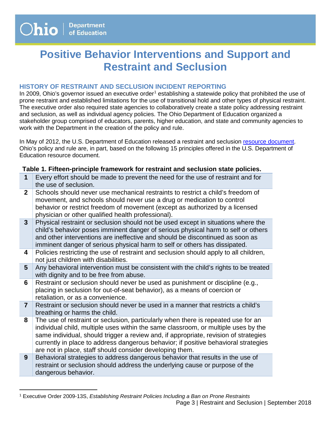$\overline{a}$ 

# **Positive Behavior Interventions and Support and Restraint and Seclusion**

## **HISTORY OF RESTRAINT AND SECLUSION INCIDENT REPORTING**

In 2009, Ohio's governor issued an executive order<sup>[1](#page-2-0)</sup> establishing a statewide policy that prohibited the use of prone restraint and established limitations for the use of transitional hold and other types of physical restraint. The executive order also required state agencies to collaboratively create a state policy addressing restraint and seclusion, as well as individual agency policies. The Ohio Department of Education organized a stakeholder group comprised of educators, parents, higher education, and state and community agencies to work with the Department in the creation of the policy and rule.

In May of 2012, the U.S. Department of Education released a restraint and seclusion [resource document.](https://www2.ed.gov/policy/seclusion/restraints-and-seclusion-resources.pdf) Ohio's policy and rule are, in part, based on the following 15 principles offered in the U.S. Department of Education resource document.

## **Table 1. Fifteen-principle framework for restraint and seclusion state policies.**

- **1** Every effort should be made to prevent the need for the use of restraint and for the use of seclusion.
- **2** Schools should never use mechanical restraints to restrict a child's freedom of movement, and schools should never use a drug or medication to control behavior or restrict freedom of movement (except as authorized by a licensed physician or other qualified health professional).
- **3** Physical restraint or seclusion should not be used except in situations where the child's behavior poses imminent danger of serious physical harm to self or others and other interventions are ineffective and should be discontinued as soon as imminent danger of serious physical harm to self or others has dissipated.
- **4** Policies restricting the use of restraint and seclusion should apply to all children, not just children with disabilities.
- **5** Any behavioral intervention must be consistent with the child's rights to be treated with dignity and to be free from abuse.
- **6** Restraint or seclusion should never be used as punishment or discipline (e.g., placing in seclusion for out-of-seat behavior), as a means of coercion or retaliation, or as a convenience.
- **7** Restraint or seclusion should never be used in a manner that restricts a child's breathing or harms the child.
- **8** The use of restraint or seclusion, particularly when there is repeated use for an individual child, multiple uses within the same classroom, or multiple uses by the same individual, should trigger a review and, if appropriate, revision of strategies currently in place to address dangerous behavior; if positive behavioral strategies are not in place, staff should consider developing them.
- **9** Behavioral strategies to address dangerous behavior that results in the use of restraint or seclusion should address the underlying cause or purpose of the dangerous behavior.

<span id="page-2-0"></span><sup>1</sup> Executive Order 2009-13S, *Establishing Restraint Policies Including a Ban on Prone Restraints*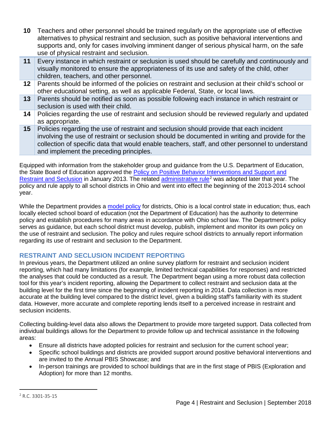- **10** Teachers and other personnel should be trained regularly on the appropriate use of effective alternatives to physical restraint and seclusion, such as positive behavioral interventions and supports and, only for cases involving imminent danger of serious physical harm, on the safe use of physical restraint and seclusion.
- **11** Every instance in which restraint or seclusion is used should be carefully and continuously and visually monitored to ensure the appropriateness of its use and safety of the child, other children, teachers, and other personnel.
- 12 Parents should be informed of the policies on restraint and seclusion at their child's school or other educational setting, as well as applicable Federal, State, or local laws.
- **13** Parents should be notified as soon as possible following each instance in which restraint or seclusion is used with their child.
- **14** Policies regarding the use of restraint and seclusion should be reviewed regularly and updated as appropriate.
- **15** Policies regarding the use of restraint and seclusion should provide that each incident involving the use of restraint or seclusion should be documented in writing and provide for the collection of specific data that would enable teachers, staff, and other personnel to understand and implement the preceding principles.

Equipped with information from the stakeholder group and guidance from the U.S. Department of Education, the State Board of Education approved the [Policy on Positive Behavior Interventions and Support](http://education.ohio.gov/getattachment/Topics/Other-Resources/School-Safety/Building-Better-Learning-Environments/Policy-Positive-Behavior-Interventions-and-Support/Ohio-Department-of-Education-Policy-on-Positive-Behavior-Interventions.pdf.aspx) and [Restraint and Seclusion](http://education.ohio.gov/getattachment/Topics/Other-Resources/School-Safety/Building-Better-Learning-Environments/Policy-Positive-Behavior-Interventions-and-Support/Ohio-Department-of-Education-Policy-on-Positive-Behavior-Interventions.pdf.aspx) in January 2013. The related [administrative rule](http://codes.ohio.gov/oac/3301-35-15)<sup>[2](#page-3-0)</sup> was adopted later that year. The policy and rule apply to all school districts in Ohio and went into effect the beginning of the 2013-2014 school year.

While the Department provides a [model policy](http://education.ohio.gov/Topics/Other-Resources/School-Safety/Building-Better-Learning-Environments/Policy-Positive-Behavior-Interventions-and-Support) for districts, Ohio is a local control state in education; thus, each locally elected school board of education (not the Department of Education) has the authority to determine policy and establish procedures for many areas in accordance with Ohio school law. The Department's policy serves as guidance, but each school district must develop, publish, implement and monitor its own policy on the use of restraint and seclusion. The policy and rules require school districts to annually report information regarding its use of restraint and seclusion to the Department.

# **RESTRAINT AND SECLUSION INCIDENT REPORTING**

In previous years, the Department utilized an online survey platform for restraint and seclusion incident reporting, which had many limitations (for example, limited technical capabilities for responses) and restricted the analyses that could be conducted as a result. The Department began using a more robust data collection tool for this year's incident reporting, allowing the Department to collect restraint and seclusion data at the building level for the first time since the beginning of incident reporting in 2014. Data collection is more accurate at the building level compared to the district level, given a building staff's familiarity with its student data. However, more accurate and complete reporting lends itself to a perceived increase in restraint and seclusion incidents.

Collecting building-level data also allows the Department to provide more targeted support. Data collected from individual buildings allows for the Department to provide follow up and technical assistance in the following areas:

- Ensure all districts have adopted policies for restraint and seclusion for the current school year;
- Specific school buildings and districts are provided support around positive behavioral interventions and are invited to the Annual PBIS Showcase; and
- In-person trainings are provided to school buildings that are in the first stage of PBIS (Exploration and Adoption) for more than 12 months.

<span id="page-3-0"></span> <sup>2</sup> R.C. 3301-35-15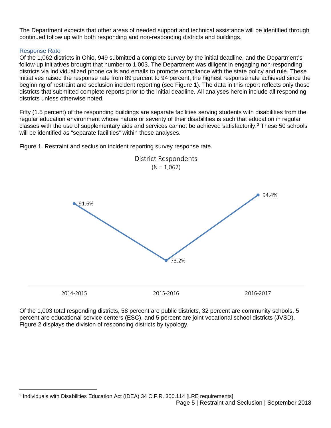The Department expects that other areas of needed support and technical assistance will be identified through continued follow up with both responding and non-responding districts and buildings.

#### Response Rate

 $\overline{a}$ 

Of the 1,062 districts in Ohio, 949 submitted a complete survey by the initial deadline, and the Department's follow-up initiatives brought that number to 1,003. The Department was diligent in engaging non-responding districts via individualized phone calls and emails to promote compliance with the state policy and rule. These initiatives raised the response rate from 89 percent to 94 percent, the highest response rate achieved since the beginning of restraint and seclusion incident reporting (see Figure 1). The data in this report reflects only those districts that submitted complete reports prior to the initial deadline. All analyses herein include all responding districts unless otherwise noted.

Fifty (1.5 percent) of the responding buildings are separate facilities serving students with disabilities from the regular education environment whose nature or severity of their disabilities is such that education in regular classes with the use of supplementary aids and services cannot be achieved satisfactorily.<sup>[3](#page-4-0)</sup> These 50 schools will be identified as "separate facilities" within these analyses.

Figure 1. Restraint and seclusion incident reporting survey response rate.



Of the 1,003 total responding districts, 58 percent are public districts, 32 percent are community schools, 5 percent are educational service centers (ESC), and 5 percent are joint vocational school districts (JVSD). Figure 2 displays the division of responding districts by typology.

<span id="page-4-0"></span>Page 5 | Restraint and Seclusion | September 2018 <sup>3</sup> Individuals with Disabilities Education Act (IDEA) 34 C.F.R. 300.114 [LRE requirements]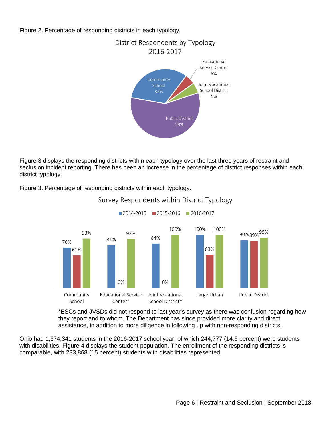Figure 2. Percentage of responding districts in each typology.



Figure 3 displays the responding districts within each typology over the last three years of restraint and seclusion incident reporting. There has been an increase in the percentage of district responses within each district typology.

Figure 3. Percentage of responding districts within each typology.



## Survey Respondents within District Typology

2014-2015 2015-2016 2016-2017

\*ESCs and JVSDs did not respond to last year's survey as there was confusion regarding how they report and to whom. The Department has since provided more clarity and direct assistance, in addition to more diligence in following up with non-responding districts.

Ohio had 1,674,341 students in the 2016-2017 school year, of which 244,777 (14.6 percent) were students with disabilities. Figure 4 displays the student population. The enrollment of the responding districts is comparable, with 233,868 (15 percent) students with disabilities represented.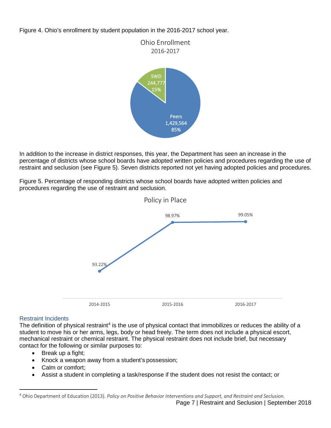Figure 4. Ohio's enrollment by student population in the 2016-2017 school year.



In addition to the increase in district responses, this year, the Department has seen an increase in the percentage of districts whose school boards have adopted written policies and procedures regarding the use of restraint and seclusion (see Figure 5). Seven districts reported not yet having adopted policies and procedures.

Figure 5. Percentage of responding districts whose school boards have adopted written policies and procedures regarding the use of restraint and seclusion.



#### Restraint Incidents

The definition of physical restraint<sup>[4](#page-6-0)</sup> is the use of physical contact that immobilizes or reduces the ability of a student to move his or her arms, legs, body or head freely. The term does not include a physical escort, mechanical restraint or chemical restraint. The physical restraint does not include brief, but necessary contact for the following or similar purposes to:

- Break up a fight;
- Knock a weapon away from a student's possession;
- Calm or comfort:
- Assist a student in completing a task/response if the student does not resist the contact; or

<span id="page-6-0"></span> <sup>4</sup> Ohio Department of Education (2013). *Policy on Positive Behavior Interventions and Support, and Restraint and Seclusion.*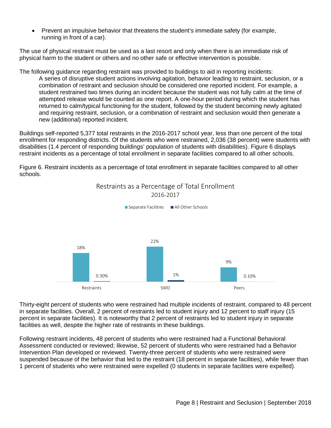• Prevent an impulsive behavior that threatens the student's immediate safety (for example, running in front of a car).

The use of physical restraint must be used as a last resort and only when there is an immediate risk of physical harm to the student or others and no other safe or effective intervention is possible.

The following guidance regarding restraint was provided to buildings to aid in reporting incidents:

A series of disruptive student actions involving agitation, behavior leading to restraint, seclusion, or a combination of restraint and seclusion should be considered one reported incident. For example, a student restrained two times during an incident because the student was not fully calm at the time of attempted release would be counted as one report. A one-hour period during which the student has returned to calm/typical functioning for the student, followed by the student becoming newly agitated and requiring restraint, seclusion, or a combination of restraint and seclusion would then generate a new (additional) reported incident.

Buildings self-reported 5,377 total restraints in the 2016-2017 school year, less than one percent of the total enrollment for responding districts. Of the students who were restrained, 2,036 (38 percent) were students with disabilities (1.4 percent of responding buildings' population of students with disabilities). Figure 6 displays restraint incidents as a percentage of total enrollment in separate facilities compared to all other schools.

Figure 6. Restraint incidents as a percentage of total enrollment in separate facilities compared to all other schools.



Restraints as a Percentage of Total Enrollment

Thirty-eight percent of students who were restrained had multiple incidents of restraint, compared to 48 percent in separate facilities. Overall, 2 percent of restraints led to student injury and 12 percent to staff injury (15 percent in separate facilities). It is noteworthy that 2 percent of restraints led to student injury in separate facilities as well, despite the higher rate of restraints in these buildings.

Following restraint incidents, 48 percent of students who were restrained had a Functional Behavioral Assessment conducted or reviewed; likewise, 52 percent of students who were restrained had a Behavior Intervention Plan developed or reviewed. Twenty-three percent of students who were restrained were suspended because of the behavior that led to the restraint (18 percent in separate facilities), while fewer than 1 percent of students who were restrained were expelled (0 students in separate facilities were expelled).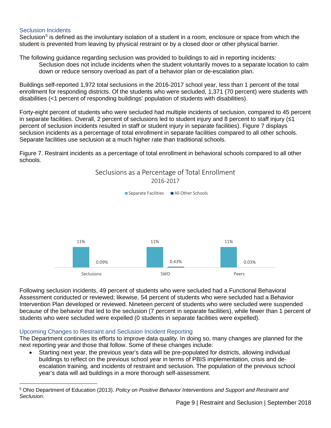#### Seclusion Incidents

 $\overline{a}$ 

Seclusion<sup>[5](#page-8-0)</sup> is defined as the involuntary isolation of a student in a room, enclosure or space from which the student is prevented from leaving by physical restraint or by a closed door or other physical barrier.

The following guidance regarding seclusion was provided to buildings to aid in reporting incidents: Seclusion does not include incidents when the student voluntarily moves to a separate location to calm down or reduce sensory overload as part of a behavior plan or de-escalation plan.

Buildings self-reported 1,972 total seclusions in the 2016-2017 school year, less than 1 percent of the total enrollment for responding districts. Of the students who were secluded, 1,371 (70 percent) were students with disabilities (<1 percent of responding buildings' population of students with disabilities).

Forty-eight percent of students who were secluded had multiple incidents of seclusion, compared to 45 percent in separate facilities. Overall, 2 percent of seclusions led to student injury and 8 percent to staff injury (≤1 percent of seclusion incidents resulted in staff or student injury in separate facilities). Figure 7 displays seclusion incidents as a percentage of total enrollment in separate facilities compared to all other schools. Separate facilities use seclusion at a much higher rate than traditional schools.

Figure 7. Restraint incidents as a percentage of total enrollment in behavioral schools compared to all other schools.



Following seclusion incidents, 49 percent of students who were secluded had a Functional Behavioral Assessment conducted or reviewed; likewise, 54 percent of students who were secluded had a Behavior Intervention Plan developed or reviewed. Nineteen percent of students who were secluded were suspended because of the behavior that led to the seclusion (7 percent in separate facilities), while fewer than 1 percent of students who were secluded were expelled (0 students in separate facilities were expelled).

#### Upcoming Changes to Restraint and Seclusion Incident Reporting

The Department continues its efforts to improve data quality. In doing so, many changes are planned for the next reporting year and those that follow. Some of these changes include:

• Starting next year, the previous year's data will be pre-populated for districts, allowing individual buildings to reflect on the previous school year in terms of PBIS implementation, crisis and deescalation training, and incidents of restraint and seclusion. The population of the previous school year's data will aid buildings in a more thorough self-assessment.

<span id="page-8-0"></span><sup>5</sup> Ohio Department of Education (2013). *Policy on Positive Behavior Interventions and Support and Restraint and Seclusion*.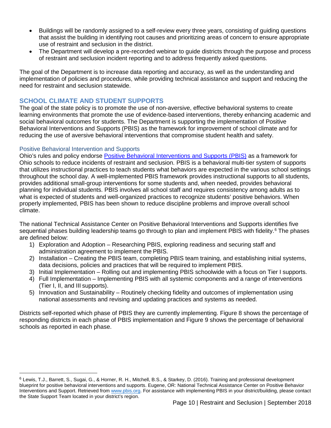- Buildings will be randomly assigned to a self-review every three years, consisting of guiding questions that assist the building in identifying root causes and prioritizing areas of concern to ensure appropriate use of restraint and seclusion in the district.
- The Department will develop a pre-recorded webinar to guide districts through the purpose and process of restraint and seclusion incident reporting and to address frequently asked questions.

The goal of the Department is to increase data reporting and accuracy, as well as the understanding and implementation of policies and procedures, while providing technical assistance and support and reducing the need for restraint and seclusion statewide.

#### **SCHOOL CLIMATE AND STUDENT SUPPORTS**

The goal of the state policy is to promote the use of non-aversive, effective behavioral systems to create learning environments that promote the use of evidence-based interventions, thereby enhancing academic and social behavioral outcomes for students. The Department is supporting the implementation of Positive Behavioral Interventions and Supports (PBIS) as the framework for improvement of school climate and for reducing the use of aversive behavioral interventions that compromise student health and safety.

#### Positive Behavioral Intervention and Supports

 $\overline{a}$ 

Ohio's rules and policy endorse [Positive Behavioral Interventions and Supports \(PBIS\)](http://education.ohio.gov/Topics/Other-Resources/School-Safety/Building-Better-Learning-Environments/PBIS-Resources) as a framework for Ohio schools to reduce incidents of restraint and seclusion. PBIS is a behavioral multi-tier system of supports that utilizes instructional practices to teach students what behaviors are expected in the various school settings throughout the school day. A well-implemented PBIS framework provides instructional supports to all students, provides additional small-group interventions for some students and, when needed, provides behavioral planning for individual students. PBIS involves all school staff and requires consistency among adults as to what is expected of students and well-organized practices to recognize students' positive behaviors. When properly implemented, PBIS has been shown to reduce discipline problems and improve overall school climate.

The national Technical Assistance Center on Positive Behavioral Interventions and Supports identifies five sequential phases building leadership teams go through to plan and implement PBIS with fidelity.<sup>[6](#page-9-0)</sup> The phases are defined below:

- 1) Exploration and Adoption Researching PBIS, exploring readiness and securing staff and administration agreement to implement the PBIS.
- 2) Installation Creating the PBIS team, completing PBIS team training, and establishing initial systems, data decisions, policies and practices that will be required to implement PBIS.
- 3) Initial Implementation Rolling out and implementing PBIS schoolwide with a focus on Tier I supports.
- 4) Full Implementation Implementing PBIS with all systemic components and a range of interventions (Tier I, II, and III supports).
- 5) Innovation and Sustainability Routinely checking fidelity and outcomes of implementation using national assessments and revising and updating practices and systems as needed.

Districts self-reported which phase of PBIS they are currently implementing. Figure 8 shows the percentage of responding districts in each phase of PBIS implementation and Figure 9 shows the percentage of behavioral schools as reported in each phase.

<span id="page-9-0"></span><sup>6</sup> Lewis, T.J., Barrett, S., Sugai, G., & Horner, R. H., Mitchell, B.S., & Starkey, D. (2016). Training and professional development blueprint for positive behavioral interventions and supports. Eugene, OR: National Technical Assistance Center on Positive Behavior Interventions and Support. Retrieved fro[m www.pbis.org.](http://www.pbis.org/) For assistance with implementing PBIS in your district/building, please contact the State Support Team located in your district's region.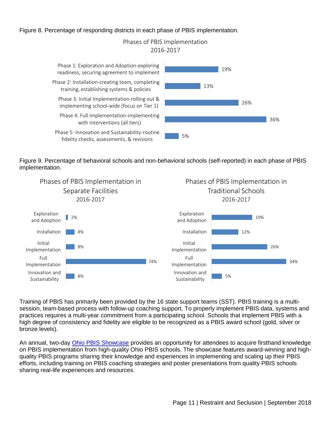#### Figure 8. Percentage of responding districts in each phase of PBIS implementation.

Phases of PBIS Implementation 2016-2017

19% 13% 26% 36% 5% Phase 1: Exploration and Adoption-exploring readiness, securing agreement to implement Phase 2: Installation-creating team, completing training, establishing systems & policies Phase 3: Initial Implementation-rolling out & implementing school-wide (focus on Tier 1) Phase 4: Full Implementation-implementing with interventions (all tiers) Phase 5: Innovation and Sustainability-routine fidelity checks, assessments, & revisions

Figure 9. Percentage of behavioral schools and non-behavioral schools (self-reported) in each phase of PBIS implementation.



Training of PBIS has primarily been provided by the 16 state support teams (SST). PBIS training is a multisession, team-based process with follow-up coaching support. To properly implement PBIS data, systems and practices requires a multi-year commitment from a participating school. Schools that implement PBIS with a high degree of consistency and fidelity are eligible to be recognized as a PBIS award school (gold, silver or bronze levels).

An annual, two-day [Ohio PBIS Showcase](http://education.ohio.gov/Topics/Other-Resources/School-Safety/Building-Better-Learning-Environments/PBIS-Resources/Ohio-PBIS-Showcase) provides an opportunity for attendees to acquire firsthand knowledge on PBIS implementation from high-quality Ohio PBIS schools. The showcase features award-winning and highquality PBIS programs sharing their knowledge and experiences in implementing and scaling up their PBIS efforts, including training on PBIS coaching strategies and poster presentations from quality PBIS schools sharing real-life experiences and resources.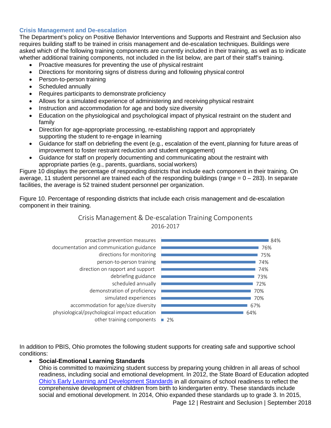#### **Crisis Management and De-escalation**

The Department's policy on Positive Behavior Interventions and Supports and Restraint and Seclusion also requires building staff to be trained in crisis management and de-escalation techniques. Buildings were asked which of the following training components are currently included in their training, as well as to indicate whether additional training components, not included in the list below, are part of their staff's training.

- Proactive measures for preventing the use of physical restraint
- Directions for monitoring signs of distress during and following physical control
- Person-to-person training
- Scheduled annually
- Requires participants to demonstrate proficiency
- Allows for a simulated experience of administering and receiving physical restraint
- Instruction and accommodation for age and body size diversity
- Education on the physiological and psychological impact of physical restraint on the student and family
- Direction for age-appropriate processing, re-establishing rapport and appropriately supporting the student to re-engage in learning
- Guidance for staff on debriefing the event (e.g., escalation of the event, planning for future areas of improvement to foster restraint reduction and student engagement)
- Guidance for staff on properly documenting and communicating about the restraint with appropriate parties (e.g., parents, guardians, social workers)

Figure 10 displays the percentage of responding districts that include each component in their training. On average, 11 student personnel are trained each of the responding buildings (range  $= 0 - 283$ ). In separate facilities, the average is 52 trained student personnel per organization.

Figure 10. Percentage of responding districts that include each crisis management and de-escalation component in their training.

## Crisis Management & De-escalation Training Components 2016-2017



In addition to PBIS, Ohio promotes the following student supports for creating safe and supportive school conditions:

## • **Social-Emotional Learning Standards**

Ohio is committed to maximizing student success by preparing young children in all areas of school readiness, including social and emotional development. In 2012, the State Board of Education adopted [Ohio's Early Learning and Development Standards](http://education.ohio.gov/Topics/Early-Learning/Early-Learning-Content-Standards) in all domains of school readiness to reflect the comprehensive development of children from birth to kindergarten entry. These standards include social and emotional development. In 2014, Ohio expanded these standards up to grade 3. In 2015,

Page 12 | Restraint and Seclusion | September 2018